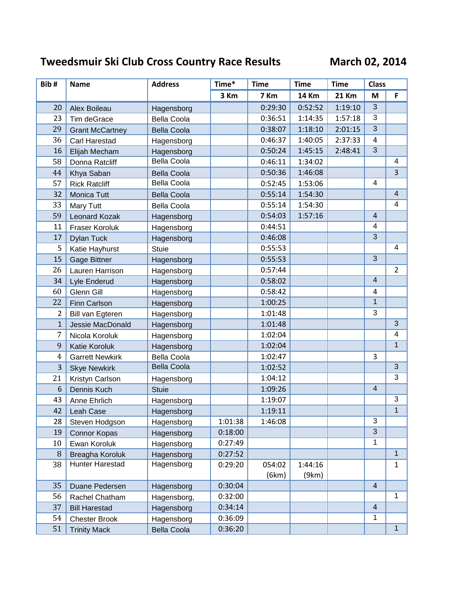## **Tweedsmuir Ski Club Cross Country Race Results March 02, 2014**

| Bib#           | <b>Name</b>            | <b>Address</b>     | Time*   | <b>Time</b> | <b>Time</b>  | <b>Time</b>  | <b>Class</b>            |                |
|----------------|------------------------|--------------------|---------|-------------|--------------|--------------|-------------------------|----------------|
|                |                        |                    | 3 Km    | 7 Km        | <b>14 Km</b> | <b>21 Km</b> | M                       | F              |
| 20             | Alex Boileau           | Hagensborg         |         | 0:29:30     | 0:52:52      | 1:19:10      | 3                       |                |
| 23             | Tim deGrace            | <b>Bella Coola</b> |         | 0:36:51     | 1:14:35      | 1:57:18      | 3                       |                |
| 29             | <b>Grant McCartney</b> | <b>Bella Coola</b> |         | 0:38:07     | 1:18:10      | 2:01:15      | 3                       |                |
| 36             | Carl Harestad          | Hagensborg         |         | 0:46:37     | 1:40:05      | 2:37:33      | 4                       |                |
| 16             | Elijah Mecham          | Hagensborg         |         | 0:50:24     | 1:45:15      | 2:48:41      | $\overline{3}$          |                |
| 58             | Donna Ratcliff         | <b>Bella Coola</b> |         | 0:46:11     | 1:34:02      |              |                         | 4              |
| 44             | Khya Saban             | <b>Bella Coola</b> |         | 0:50:36     | 1:46:08      |              |                         | $\overline{3}$ |
| 57             | <b>Rick Ratcliff</b>   | Bella Coola        |         | 0:52:45     | 1:53:06      |              | $\overline{4}$          |                |
| 32             | Monica Tutt            | <b>Bella Coola</b> |         | 0:55:14     | 1:54:30      |              |                         | $\overline{4}$ |
| 33             | <b>Mary Tutt</b>       | Bella Coola        |         | 0:55:14     | 1:54:30      |              |                         | 4              |
| 59             | <b>Leonard Kozak</b>   | Hagensborg         |         | 0:54:03     | 1:57:16      |              | $\overline{4}$          |                |
| 11             | <b>Fraser Koroluk</b>  | Hagensborg         |         | 0:44:51     |              |              | $\overline{\mathbf{4}}$ |                |
| 17             | <b>Dylan Tuck</b>      | Hagensborg         |         | 0:46:08     |              |              | $\overline{3}$          |                |
| 5              | Katie Hayhurst         | <b>Stuie</b>       |         | 0:55:53     |              |              |                         | 4              |
| 15             | Gage Bittner           | Hagensborg         |         | 0:55:53     |              |              | $\mathfrak{S}$          |                |
| 26             | Lauren Harrison        | Hagensborg         |         | 0:57:44     |              |              |                         | $\overline{2}$ |
| 34             | Lyle Enderud           | Hagensborg         |         | 0:58:02     |              |              | $\overline{4}$          |                |
| 60             | Glenn Gill             | Hagensborg         |         | 0:58:42     |              |              | 4                       |                |
| 22             | <b>Finn Carlson</b>    | Hagensborg         |         | 1:00:25     |              |              | $\overline{1}$          |                |
| $\overline{2}$ | Bill van Egteren       | Hagensborg         |         | 1:01:48     |              |              | 3                       |                |
| $\mathbf{1}$   | Jessie MacDonald       | Hagensborg         |         | 1:01:48     |              |              |                         | 3              |
| 7              | Nicola Koroluk         | Hagensborg         |         | 1:02:04     |              |              |                         | 4              |
| 9              | Katie Koroluk          | Hagensborg         |         | 1:02:04     |              |              |                         | $\mathbf{1}$   |
| $\overline{4}$ | <b>Garrett Newkirk</b> | <b>Bella Coola</b> |         | 1:02:47     |              |              | 3                       |                |
| 3              | <b>Skye Newkirk</b>    | <b>Bella Coola</b> |         | 1:02:52     |              |              |                         | $\mathbf{3}$   |
| 21             | Kristyn Carlson        | Hagensborg         |         | 1:04:12     |              |              |                         | $\mathbf{3}$   |
| 6              | Dennis Kuch            | <b>Stuie</b>       |         | 1:09:26     |              |              | $\overline{4}$          |                |
| 43             | Anne Ehrlich           | Hagensborg         |         | 1:19:07     |              |              |                         | $\mathbf{3}$   |
| 42             | Leah Case              | Hagensborg         |         | 1:19:11     |              |              |                         | $\mathbf{1}$   |
| 28             | Steven Hodgson         | Hagensborg         | 1:01:38 | 1:46:08     |              |              | 3                       |                |
| 19             | <b>Connor Kopas</b>    | Hagensborg         | 0:18:00 |             |              |              | 3                       |                |
| 10             | Ewan Koroluk           | Hagensborg         | 0:27:49 |             |              |              | 1                       |                |
| 8              | Breagha Koroluk        | Hagensborg         | 0:27:52 |             |              |              |                         | 1              |
| 38             | Hunter Harestad        | Hagensborg         | 0:29:20 | 054:02      | 1:44:16      |              |                         | $\mathbf{1}$   |
|                |                        |                    |         | (6km)       | (9km)        |              |                         |                |
| 35             | Duane Pedersen         | Hagensborg         | 0:30:04 |             |              |              | $\overline{4}$          |                |
| 56             | Rachel Chatham         | Hagensborg,        | 0:32:00 |             |              |              |                         | 1              |
| 37             | <b>Bill Harestad</b>   | Hagensborg         | 0:34:14 |             |              |              | $\overline{4}$          |                |
| 54             | <b>Chester Brook</b>   | Hagensborg         | 0:36:09 |             |              |              | 1                       |                |
| 51             | <b>Trinity Mack</b>    | <b>Bella Coola</b> | 0:36:20 |             |              |              |                         | 1              |